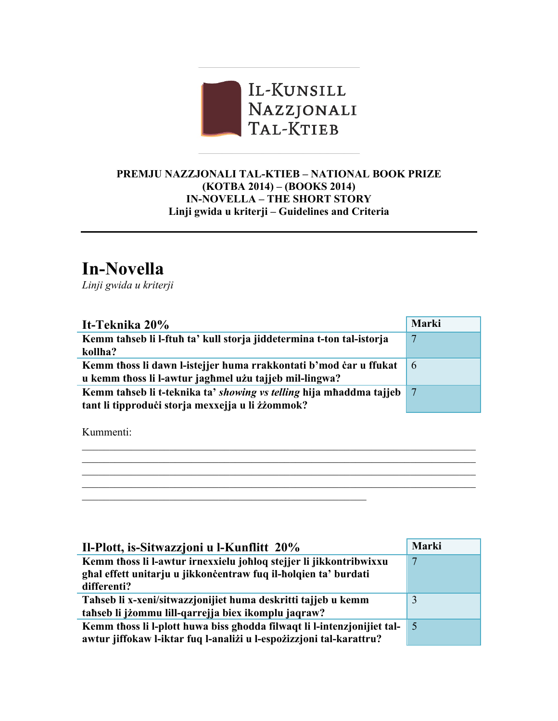

## **PREMJU NAZZJONALI TAL-KTIEB – NATIONAL BOOK PRIZE (KOTBA 2014) – (BOOKS 2014) IN-NOVELLA – THE SHORT STORY Linji gwida u kriterji – Guidelines and Criteria**

## **In-Novella**

*Linji gwida u kriterji*

| It-Teknika 20%                                                       | Marki |
|----------------------------------------------------------------------|-------|
| Kemm tahseb li l-ftuh ta' kull storja jiddetermina t-ton tal-istorja | 7     |
| kollha?                                                              |       |
| Kemm thoss li dawn l-istejjer huma rrakkontati b'mod car u ffukat    | 6     |
| u kemm thoss li l-awtur jaghmel użu tajjeb mil-lingwa?               |       |
| Kemm tahseb li t-teknika ta' showing vs telling hija mhaddma tajjeb  |       |
| tant li tipproduči storja mexxejja u li žžommok?                     |       |

 $\mathcal{L}_\mathcal{L} = \{ \mathcal{L}_\mathcal{L} = \{ \mathcal{L}_\mathcal{L} = \{ \mathcal{L}_\mathcal{L} = \{ \mathcal{L}_\mathcal{L} = \{ \mathcal{L}_\mathcal{L} = \{ \mathcal{L}_\mathcal{L} = \{ \mathcal{L}_\mathcal{L} = \{ \mathcal{L}_\mathcal{L} = \{ \mathcal{L}_\mathcal{L} = \{ \mathcal{L}_\mathcal{L} = \{ \mathcal{L}_\mathcal{L} = \{ \mathcal{L}_\mathcal{L} = \{ \mathcal{L}_\mathcal{L} = \{ \mathcal{L}_\mathcal{$  $\mathcal{L}_\mathcal{L} = \{ \mathcal{L}_\mathcal{L} = \{ \mathcal{L}_\mathcal{L} = \{ \mathcal{L}_\mathcal{L} = \{ \mathcal{L}_\mathcal{L} = \{ \mathcal{L}_\mathcal{L} = \{ \mathcal{L}_\mathcal{L} = \{ \mathcal{L}_\mathcal{L} = \{ \mathcal{L}_\mathcal{L} = \{ \mathcal{L}_\mathcal{L} = \{ \mathcal{L}_\mathcal{L} = \{ \mathcal{L}_\mathcal{L} = \{ \mathcal{L}_\mathcal{L} = \{ \mathcal{L}_\mathcal{L} = \{ \mathcal{L}_\mathcal{$  $\mathcal{L}_\mathcal{L} = \{ \mathcal{L}_\mathcal{L} = \{ \mathcal{L}_\mathcal{L} = \{ \mathcal{L}_\mathcal{L} = \{ \mathcal{L}_\mathcal{L} = \{ \mathcal{L}_\mathcal{L} = \{ \mathcal{L}_\mathcal{L} = \{ \mathcal{L}_\mathcal{L} = \{ \mathcal{L}_\mathcal{L} = \{ \mathcal{L}_\mathcal{L} = \{ \mathcal{L}_\mathcal{L} = \{ \mathcal{L}_\mathcal{L} = \{ \mathcal{L}_\mathcal{L} = \{ \mathcal{L}_\mathcal{L} = \{ \mathcal{L}_\mathcal{$  $\mathcal{L}_\mathcal{L} = \{ \mathcal{L}_\mathcal{L} = \{ \mathcal{L}_\mathcal{L} = \{ \mathcal{L}_\mathcal{L} = \{ \mathcal{L}_\mathcal{L} = \{ \mathcal{L}_\mathcal{L} = \{ \mathcal{L}_\mathcal{L} = \{ \mathcal{L}_\mathcal{L} = \{ \mathcal{L}_\mathcal{L} = \{ \mathcal{L}_\mathcal{L} = \{ \mathcal{L}_\mathcal{L} = \{ \mathcal{L}_\mathcal{L} = \{ \mathcal{L}_\mathcal{L} = \{ \mathcal{L}_\mathcal{L} = \{ \mathcal{L}_\mathcal{$ 

 $\mathcal{L}_\text{max}$  , and the contract of the contract of the contract of the contract of the contract of the contract of the contract of the contract of the contract of the contract of the contract of the contract of the contr

Kummenti:

| Il-Plott, is-Sitwazzjoni u l-Kunflitt 20%                                                                                             | Marki      |
|---------------------------------------------------------------------------------------------------------------------------------------|------------|
| Kemm thoss li l-awtur irnexxielu johloq stejjer li jikkontribwixxu<br>ghal effett unitarju u jikkončentraw fuq il-holqien ta' burdati |            |
| differenti?                                                                                                                           |            |
| Tahseb li x-xeni/sitwazzjonijiet huma deskritti tajjeb u kemm                                                                         | 3          |
| tahseb li jżommu lill-qarrejja biex ikomplu jaqraw?                                                                                   |            |
| Kemm thoss li l-plott huwa biss ghodda filwaqt li l-intenzionijiet tal-                                                               | $\sqrt{5}$ |
| awtur jiffokaw l-iktar fuq l-analiżi u l-espożizzjoni tal-karattru?                                                                   |            |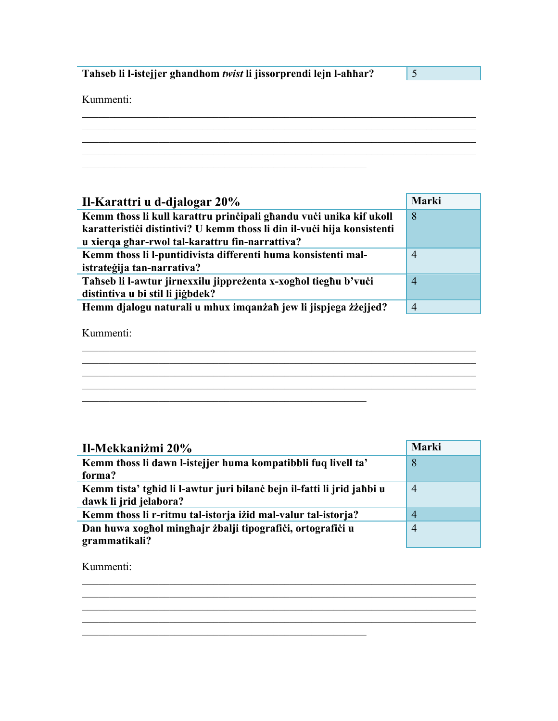Tahseb li l-istejjer ghandhom twist li jissorprendi lejn l-ahhar?

 $\boxed{5}$ 

Kummenti:

| Marki          |
|----------------|
| 8              |
|                |
|                |
| $\overline{4}$ |
|                |
| $\overline{4}$ |
|                |
| $\overline{4}$ |
|                |

Kummenti:

| Il-Mekkaniżmi 20%                                                      | Marki          |
|------------------------------------------------------------------------|----------------|
| Kemm thoss li dawn l-istejjer huma kompatibbli fuq livell ta'          | 8              |
| forma?                                                                 |                |
| Kemm tista' tghid li l-awtur juri bilanc bejn il-fatti li jrid jahbi u | $\overline{4}$ |
| dawk li jrid jelabora?                                                 |                |
| Kemm thoss li r-ritmu tal-istorja izid mal-valur tal-istorja?          | $\overline{4}$ |
| Dan huwa xoghol minghajr żbalji tipografici, ortografici u             | $\overline{4}$ |
| grammatikali?                                                          |                |

<u> 1989 - Johann Barn, mars ann an t-Amhainn an t-Amhainn an t-Amhainn an t-Amhainn an t-Amhainn an t-Amhainn a</u>

Kummenti: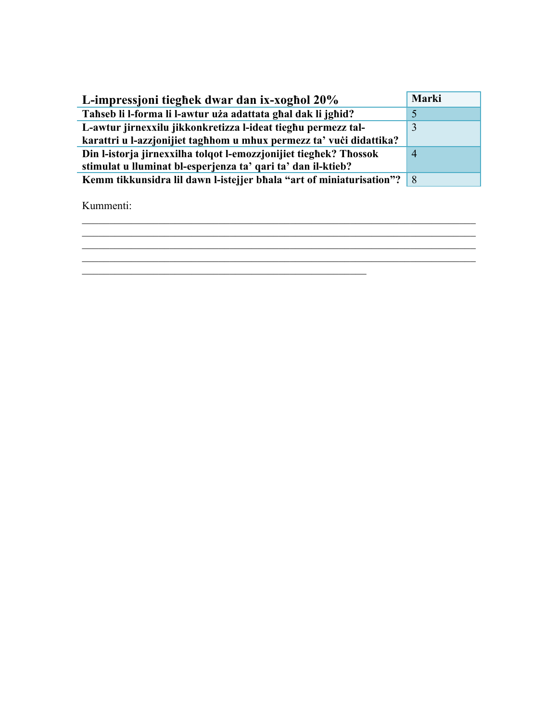| L-impressioni tieghek dwar dan ix-xoghol 20%                           | Marki          |
|------------------------------------------------------------------------|----------------|
| Tahseb li l-forma li l-awtur uża adattata ghal dak li jghid?           |                |
| L-awtur jirnexxilu jikkonkretizza l-ideat tieghu permezz tal-          | 3              |
| karattri u l-azzjonijiet taghhom u mhux permezz ta' vući didattika?    |                |
| Din l-istorja jirnexxilha tolqot l-emozzjonijiet tieghek? Thossok      | $\overline{4}$ |
| stimulat u lluminat bl-esperjenza ta' qari ta' dan il-ktieb?           |                |
| Kemm tikkunsidra lil dawn l-istejjer bhala "art of miniaturisation"? 8 |                |

Kummenti:

\_\_\_\_\_\_\_\_\_\_\_\_\_\_\_\_\_\_\_\_\_\_\_\_\_\_\_\_\_\_\_\_\_\_\_\_\_\_\_\_\_\_\_\_\_\_\_\_\_\_\_\_\_\_\_\_\_\_\_\_\_\_\_\_\_\_\_\_\_\_\_\_ \_\_\_\_\_\_\_\_\_\_\_\_\_\_\_\_\_\_\_\_\_\_\_\_\_\_\_\_\_\_\_\_\_\_\_\_\_\_\_\_\_\_\_\_\_\_\_\_\_\_\_\_\_\_\_\_\_\_\_\_\_\_\_\_\_\_\_\_\_\_\_\_  $\overline{\phantom{a}}$  , and the contribution of the contribution of the contribution of the contribution of the contribution of the contribution of the contribution of the contribution of the contribution of the contribution of the \_\_\_\_\_\_\_\_\_\_\_\_\_\_\_\_\_\_\_\_\_\_\_\_\_\_\_\_\_\_\_\_\_\_\_\_\_\_\_\_\_\_\_\_\_\_\_\_\_\_\_\_\_\_\_\_\_\_\_\_\_\_\_\_\_\_\_\_\_\_\_\_  $\mathcal{L}_\text{max}$  and  $\mathcal{L}_\text{max}$  and  $\mathcal{L}_\text{max}$  and  $\mathcal{L}_\text{max}$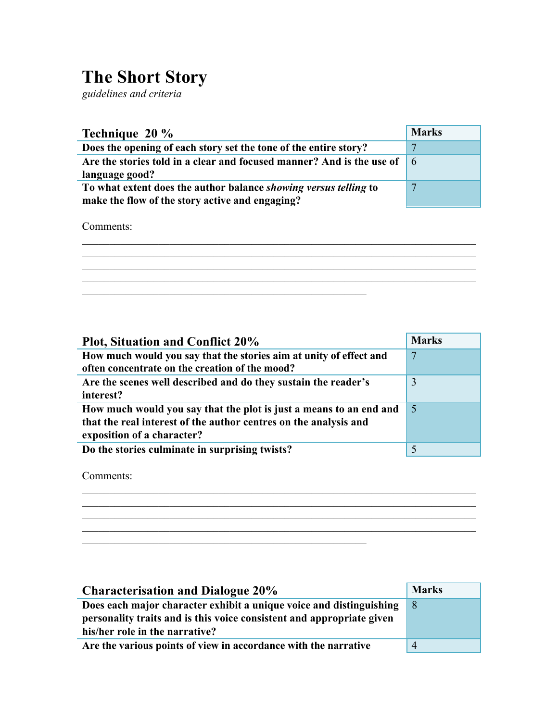## **The Short Story**

*guidelines and criteria*

| Technique 20 %                                                                                                                    | <b>Marks</b> |
|-----------------------------------------------------------------------------------------------------------------------------------|--------------|
| Does the opening of each story set the tone of the entire story?                                                                  |              |
| Are the stories told in a clear and focused manner? And is the use of $\begin{array}{ c c } \hline \end{array}$<br>language good? |              |
| To what extent does the author balance showing versus telling to<br>make the flow of the story active and engaging?               | ┍            |

 $\mathcal{L}_\text{max} = \mathcal{L}_\text{max} = \mathcal{L}_\text{max} = \mathcal{L}_\text{max} = \mathcal{L}_\text{max} = \mathcal{L}_\text{max} = \mathcal{L}_\text{max} = \mathcal{L}_\text{max} = \mathcal{L}_\text{max} = \mathcal{L}_\text{max} = \mathcal{L}_\text{max} = \mathcal{L}_\text{max} = \mathcal{L}_\text{max} = \mathcal{L}_\text{max} = \mathcal{L}_\text{max} = \mathcal{L}_\text{max} = \mathcal{L}_\text{max} = \mathcal{L}_\text{max} = \mathcal{$  $\mathcal{L}_\mathcal{L} = \{ \mathcal{L}_\mathcal{L} = \{ \mathcal{L}_\mathcal{L} = \{ \mathcal{L}_\mathcal{L} = \{ \mathcal{L}_\mathcal{L} = \{ \mathcal{L}_\mathcal{L} = \{ \mathcal{L}_\mathcal{L} = \{ \mathcal{L}_\mathcal{L} = \{ \mathcal{L}_\mathcal{L} = \{ \mathcal{L}_\mathcal{L} = \{ \mathcal{L}_\mathcal{L} = \{ \mathcal{L}_\mathcal{L} = \{ \mathcal{L}_\mathcal{L} = \{ \mathcal{L}_\mathcal{L} = \{ \mathcal{L}_\mathcal{$  $\mathcal{L}_\mathcal{L} = \{ \mathcal{L}_\mathcal{L} = \{ \mathcal{L}_\mathcal{L} = \{ \mathcal{L}_\mathcal{L} = \{ \mathcal{L}_\mathcal{L} = \{ \mathcal{L}_\mathcal{L} = \{ \mathcal{L}_\mathcal{L} = \{ \mathcal{L}_\mathcal{L} = \{ \mathcal{L}_\mathcal{L} = \{ \mathcal{L}_\mathcal{L} = \{ \mathcal{L}_\mathcal{L} = \{ \mathcal{L}_\mathcal{L} = \{ \mathcal{L}_\mathcal{L} = \{ \mathcal{L}_\mathcal{L} = \{ \mathcal{L}_\mathcal{$  $\mathcal{L}_\mathcal{L} = \{ \mathcal{L}_\mathcal{L} = \{ \mathcal{L}_\mathcal{L} = \{ \mathcal{L}_\mathcal{L} = \{ \mathcal{L}_\mathcal{L} = \{ \mathcal{L}_\mathcal{L} = \{ \mathcal{L}_\mathcal{L} = \{ \mathcal{L}_\mathcal{L} = \{ \mathcal{L}_\mathcal{L} = \{ \mathcal{L}_\mathcal{L} = \{ \mathcal{L}_\mathcal{L} = \{ \mathcal{L}_\mathcal{L} = \{ \mathcal{L}_\mathcal{L} = \{ \mathcal{L}_\mathcal{L} = \{ \mathcal{L}_\mathcal{$ 

\_\_\_\_\_\_\_\_\_\_\_\_\_\_\_\_\_\_\_\_\_\_\_\_\_\_\_\_\_\_\_\_\_\_\_\_\_\_\_\_\_\_\_\_\_\_\_\_\_\_\_\_

 $\mathcal{L}_\text{max}$  and  $\mathcal{L}_\text{max}$  and  $\mathcal{L}_\text{max}$  and  $\mathcal{L}_\text{max}$  and  $\mathcal{L}_\text{max}$ 

Comments:

| <b>Plot, Situation and Conflict 20%</b>                            | <b>Marks</b> |
|--------------------------------------------------------------------|--------------|
| How much would you say that the stories aim at unity of effect and | 7            |
| often concentrate on the creation of the mood?                     |              |
| Are the scenes well described and do they sustain the reader's     | 3            |
| interest?                                                          |              |
| How much would you say that the plot is just a means to an end and | -5           |
| that the real interest of the author centres on the analysis and   |              |
| exposition of a character?                                         |              |
| Do the stories culminate in surprising twists?                     | 5            |

 $\mathcal{L}_\mathcal{L} = \{ \mathcal{L}_\mathcal{L} = \{ \mathcal{L}_\mathcal{L} = \{ \mathcal{L}_\mathcal{L} = \{ \mathcal{L}_\mathcal{L} = \{ \mathcal{L}_\mathcal{L} = \{ \mathcal{L}_\mathcal{L} = \{ \mathcal{L}_\mathcal{L} = \{ \mathcal{L}_\mathcal{L} = \{ \mathcal{L}_\mathcal{L} = \{ \mathcal{L}_\mathcal{L} = \{ \mathcal{L}_\mathcal{L} = \{ \mathcal{L}_\mathcal{L} = \{ \mathcal{L}_\mathcal{L} = \{ \mathcal{L}_\mathcal{$  $\mathcal{L}_\mathcal{L} = \{ \mathcal{L}_\mathcal{L} = \{ \mathcal{L}_\mathcal{L} = \{ \mathcal{L}_\mathcal{L} = \{ \mathcal{L}_\mathcal{L} = \{ \mathcal{L}_\mathcal{L} = \{ \mathcal{L}_\mathcal{L} = \{ \mathcal{L}_\mathcal{L} = \{ \mathcal{L}_\mathcal{L} = \{ \mathcal{L}_\mathcal{L} = \{ \mathcal{L}_\mathcal{L} = \{ \mathcal{L}_\mathcal{L} = \{ \mathcal{L}_\mathcal{L} = \{ \mathcal{L}_\mathcal{L} = \{ \mathcal{L}_\mathcal{$  $\mathcal{L}_\text{max} = \mathcal{L}_\text{max} = \mathcal{L}_\text{max} = \mathcal{L}_\text{max} = \mathcal{L}_\text{max} = \mathcal{L}_\text{max} = \mathcal{L}_\text{max} = \mathcal{L}_\text{max} = \mathcal{L}_\text{max} = \mathcal{L}_\text{max} = \mathcal{L}_\text{max} = \mathcal{L}_\text{max} = \mathcal{L}_\text{max} = \mathcal{L}_\text{max} = \mathcal{L}_\text{max} = \mathcal{L}_\text{max} = \mathcal{L}_\text{max} = \mathcal{L}_\text{max} = \mathcal{$  $\mathcal{L}_\mathcal{L} = \{ \mathcal{L}_\mathcal{L} = \{ \mathcal{L}_\mathcal{L} = \{ \mathcal{L}_\mathcal{L} = \{ \mathcal{L}_\mathcal{L} = \{ \mathcal{L}_\mathcal{L} = \{ \mathcal{L}_\mathcal{L} = \{ \mathcal{L}_\mathcal{L} = \{ \mathcal{L}_\mathcal{L} = \{ \mathcal{L}_\mathcal{L} = \{ \mathcal{L}_\mathcal{L} = \{ \mathcal{L}_\mathcal{L} = \{ \mathcal{L}_\mathcal{L} = \{ \mathcal{L}_\mathcal{L} = \{ \mathcal{L}_\mathcal{$ 

Comments:

| <b>Characterisation and Dialogue 20%</b>                              | <b>Marks</b>   |
|-----------------------------------------------------------------------|----------------|
| Does each major character exhibit a unique voice and distinguishing   | -8             |
| personality traits and is this voice consistent and appropriate given |                |
| his/her role in the narrative?                                        |                |
| Are the various points of view in accordance with the narrative       | $\overline{4}$ |